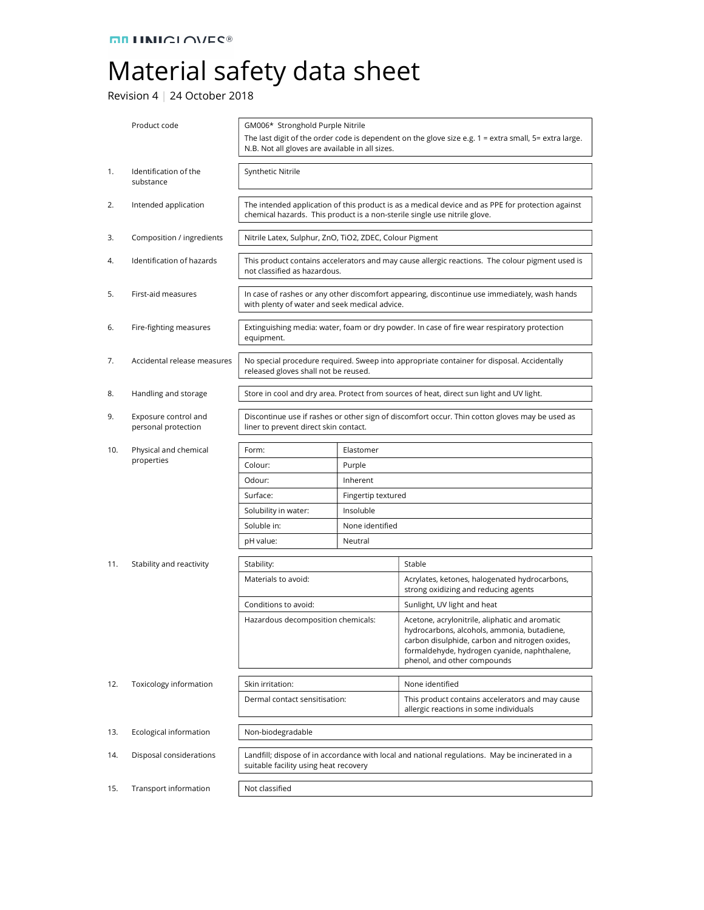## Material safety data sheet

Revision 4 | 24 October 2018

|     | Product code                                | GM006* Stronghold Purple Nitrile<br>The last digit of the order code is dependent on the glove size e.g. $1 =$ extra small, $5 =$ extra large.<br>N.B. Not all gloves are available in all sizes. |                    |                                                                                                                                                                                                                                |
|-----|---------------------------------------------|---------------------------------------------------------------------------------------------------------------------------------------------------------------------------------------------------|--------------------|--------------------------------------------------------------------------------------------------------------------------------------------------------------------------------------------------------------------------------|
| 1.  | Identification of the<br>substance          | Synthetic Nitrile                                                                                                                                                                                 |                    |                                                                                                                                                                                                                                |
| 2.  | Intended application                        | The intended application of this product is as a medical device and as PPE for protection against<br>chemical hazards. This product is a non-sterile single use nitrile glove.                    |                    |                                                                                                                                                                                                                                |
| 3.  | Composition / ingredients                   | Nitrile Latex, Sulphur, ZnO, TiO2, ZDEC, Colour Pigment                                                                                                                                           |                    |                                                                                                                                                                                                                                |
| 4.  | Identification of hazards                   | This product contains accelerators and may cause allergic reactions. The colour pigment used is<br>not classified as hazardous.                                                                   |                    |                                                                                                                                                                                                                                |
| 5.  | First-aid measures                          | In case of rashes or any other discomfort appearing, discontinue use immediately, wash hands<br>with plenty of water and seek medical advice.                                                     |                    |                                                                                                                                                                                                                                |
| 6.  | Fire-fighting measures                      | Extinguishing media: water, foam or dry powder. In case of fire wear respiratory protection<br>equipment.                                                                                         |                    |                                                                                                                                                                                                                                |
| 7.  | Accidental release measures                 | No special procedure required. Sweep into appropriate container for disposal. Accidentally<br>released gloves shall not be reused.                                                                |                    |                                                                                                                                                                                                                                |
| 8.  | Handling and storage                        | Store in cool and dry area. Protect from sources of heat, direct sun light and UV light.                                                                                                          |                    |                                                                                                                                                                                                                                |
| 9.  | Exposure control and<br>personal protection | Discontinue use if rashes or other sign of discomfort occur. Thin cotton gloves may be used as<br>liner to prevent direct skin contact.                                                           |                    |                                                                                                                                                                                                                                |
| 10. | Physical and chemical                       | Form:                                                                                                                                                                                             | Elastomer          |                                                                                                                                                                                                                                |
|     | properties                                  | Colour:                                                                                                                                                                                           | Purple             |                                                                                                                                                                                                                                |
|     |                                             | Odour:                                                                                                                                                                                            | Inherent           |                                                                                                                                                                                                                                |
|     |                                             | Surface:                                                                                                                                                                                          | Fingertip textured |                                                                                                                                                                                                                                |
|     |                                             | Solubility in water:                                                                                                                                                                              | Insoluble          |                                                                                                                                                                                                                                |
|     |                                             | Soluble in:                                                                                                                                                                                       | None identified    |                                                                                                                                                                                                                                |
|     |                                             | pH value:                                                                                                                                                                                         | Neutral            |                                                                                                                                                                                                                                |
| 11. | Stability and reactivity                    | Stability:                                                                                                                                                                                        |                    | Stable                                                                                                                                                                                                                         |
|     |                                             | Materials to avoid:                                                                                                                                                                               |                    | Acrylates, ketones, halogenated hydrocarbons,<br>strong oxidizing and reducing agents                                                                                                                                          |
|     |                                             | Conditions to avoid:                                                                                                                                                                              |                    | Sunlight, UV light and heat                                                                                                                                                                                                    |
|     |                                             | Hazardous decomposition chemicals:                                                                                                                                                                |                    | Acetone, acrylonitrile, aliphatic and aromatic<br>hydrocarbons, alcohols, ammonia, butadiene,<br>carbon disulphide, carbon and nitrogen oxides,<br>formaldehyde, hydrogen cyanide, naphthalene,<br>phenol, and other compounds |
| 12. | Toxicology information                      | Skin irritation:<br>Dermal contact sensitisation:                                                                                                                                                 |                    | None identified                                                                                                                                                                                                                |
|     |                                             |                                                                                                                                                                                                   |                    | This product contains accelerators and may cause<br>allergic reactions in some individuals                                                                                                                                     |
| 13. | Ecological information                      | Non-biodegradable                                                                                                                                                                                 |                    |                                                                                                                                                                                                                                |
| 14. | Disposal considerations                     | Landfill; dispose of in accordance with local and national regulations. May be incinerated in a<br>suitable facility using heat recovery                                                          |                    |                                                                                                                                                                                                                                |
| 15. | Transport information                       | Not classified                                                                                                                                                                                    |                    |                                                                                                                                                                                                                                |